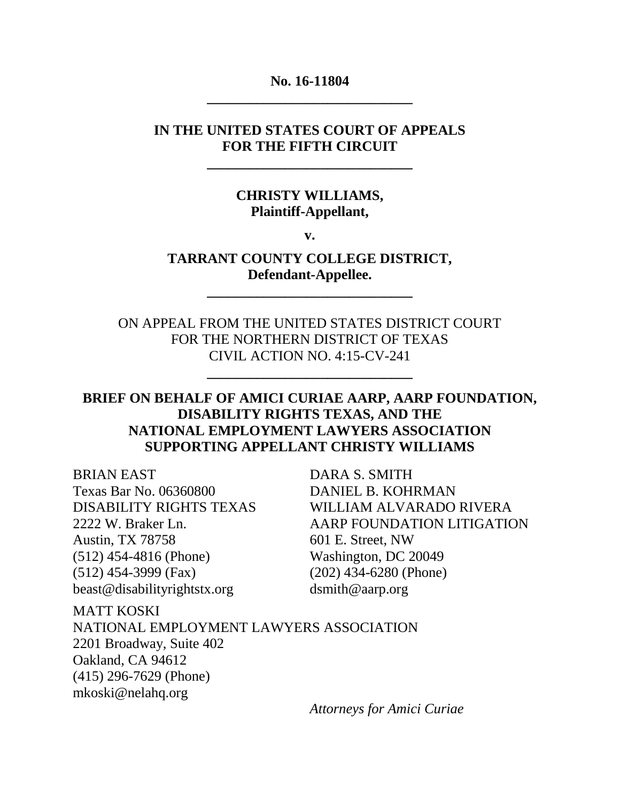### **No. 16-11804 \_\_\_\_\_\_\_\_\_\_\_\_\_\_\_\_\_\_\_\_\_\_\_\_\_\_\_\_\_**

### **IN THE UNITED STATES COURT OF APPEALS FOR THE FIFTH CIRCUIT**

**\_\_\_\_\_\_\_\_\_\_\_\_\_\_\_\_\_\_\_\_\_\_\_\_\_\_\_\_\_**

### **CHRISTY WILLIAMS, Plaintiff-Appellant,**

**v.**

## **TARRANT COUNTY COLLEGE DISTRICT, Defendant-Appellee.**

**\_\_\_\_\_\_\_\_\_\_\_\_\_\_\_\_\_\_\_\_\_\_\_\_\_\_\_\_\_**

ON APPEAL FROM THE UNITED STATES DISTRICT COURT FOR THE NORTHERN DISTRICT OF TEXAS CIVIL ACTION NO. 4:15-CV-241

**\_\_\_\_\_\_\_\_\_\_\_\_\_\_\_\_\_\_\_\_\_\_\_\_\_\_\_\_\_**

## **BRIEF ON BEHALF OF AMICI CURIAE AARP, AARP FOUNDATION, DISABILITY RIGHTS TEXAS, AND THE NATIONAL EMPLOYMENT LAWYERS ASSOCIATION SUPPORTING APPELLANT CHRISTY WILLIAMS**

BRIAN EAST DARA S. SMITH Texas Bar No. 06360800 DANIEL B. KOHRMAN Austin, TX 78758 601 E. Street, NW (512) 454-4816 (Phone) Washington, DC 20049 (512) 454-3999 (Fax) (202) 434-6280 (Phone) beast@disabilityrightstx.org dsmith@aarp.org

DISABILITY RIGHTS TEXAS WILLIAM ALVARADO RIVERA 2222 W. Braker Ln. AARP FOUNDATION LITIGATION

MATT KOSKI NATIONAL EMPLOYMENT LAWYERS ASSOCIATION 2201 Broadway, Suite 402 Oakland, CA 94612 (415) 296-7629 (Phone) mkoski@nelahq.org

*Attorneys for Amici Curiae*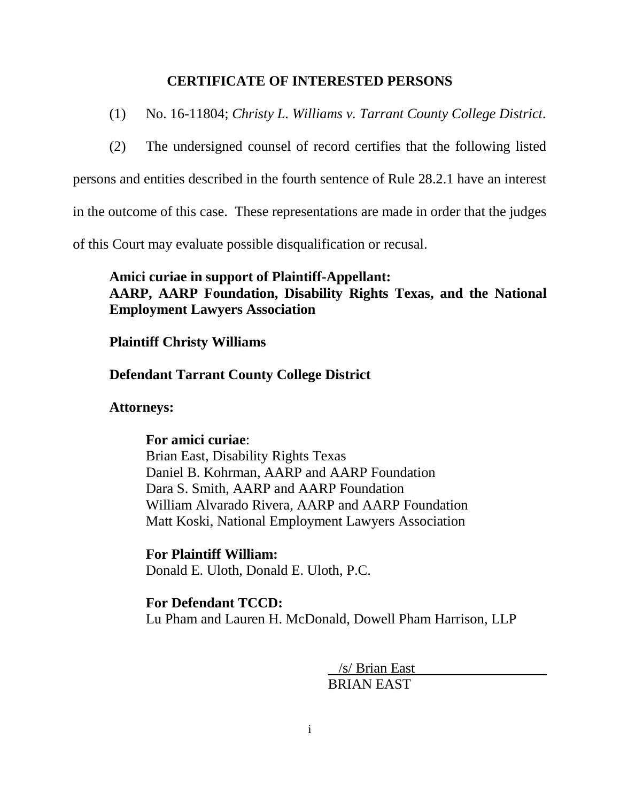### **CERTIFICATE OF INTERESTED PERSONS**

- (1) No. 16-11804; *Christy L. Williams v. Tarrant County College District.*
- (2) The undersigned counsel of record certifies that the following listed

persons and entities described in the fourth sentence of Rule 28.2.1 have an interest

in the outcome of this case. These representations are made in order that the judges

of this Court may evaluate possible disqualification or recusal.

## **Amici curiae in support of Plaintiff-Appellant: AARP, AARP Foundation, Disability Rights Texas, and the National Employment Lawyers Association**

### **Plaintiff Christy Williams**

### **Defendant Tarrant County College District**

### **Attorneys:**

### **For amici curiae**:

Brian East, Disability Rights Texas Daniel B. Kohrman, AARP and AARP Foundation Dara S. Smith, AARP and AARP Foundation William Alvarado Rivera, AARP and AARP Foundation Matt Koski, National Employment Lawyers Association

**For Plaintiff William:** Donald E. Uloth, Donald E. Uloth, P.C.

### **For Defendant TCCD:** Lu Pham and Lauren H. McDonald, Dowell Pham Harrison, LLP

 /s/ Brian East BRIAN EAST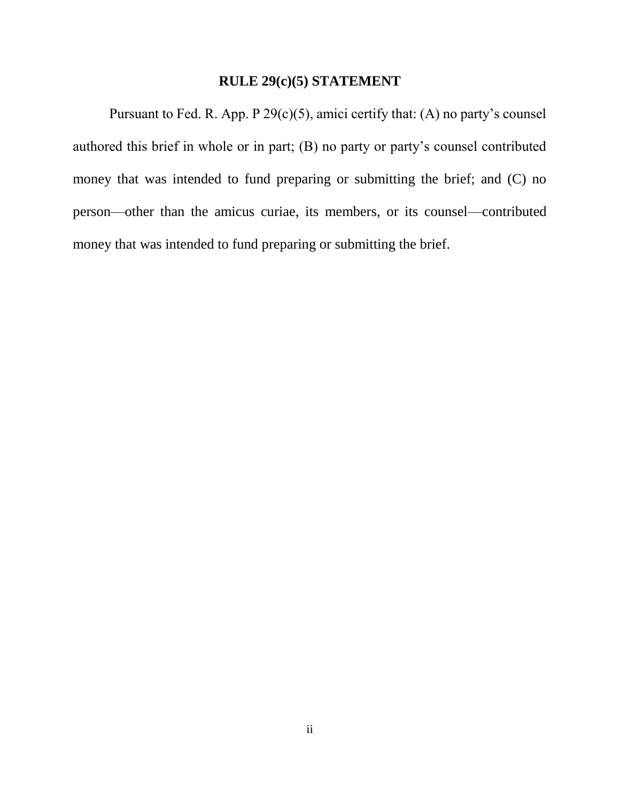### **RULE 29(c)(5) STATEMENT**

Pursuant to Fed. R. App. P  $29(c)(5)$ , amici certify that: (A) no party's counsel authored this brief in whole or in part; (B) no party or party's counsel contributed money that was intended to fund preparing or submitting the brief; and (C) no person—other than the amicus curiae, its members, or its counsel—contributed money that was intended to fund preparing or submitting the brief.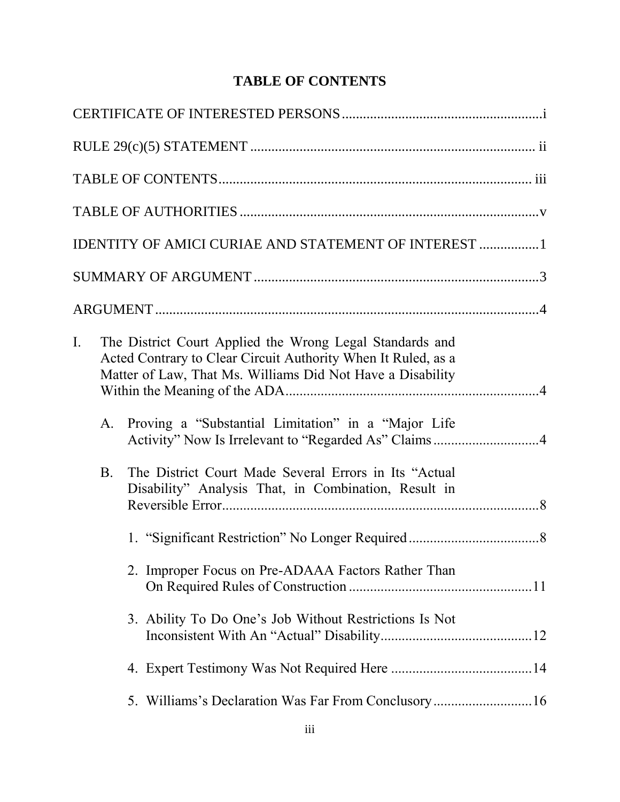# **TABLE OF CONTENTS**

|    |            | <b>IDENTITY OF AMICI CURIAE AND STATEMENT OF INTEREST 1</b>                                                                                                                                                                                    |  |
|----|------------|------------------------------------------------------------------------------------------------------------------------------------------------------------------------------------------------------------------------------------------------|--|
|    |            |                                                                                                                                                                                                                                                |  |
|    |            |                                                                                                                                                                                                                                                |  |
| I. | A.         | The District Court Applied the Wrong Legal Standards and<br>Acted Contrary to Clear Circuit Authority When It Ruled, as a<br>Matter of Law, That Ms. Williams Did Not Have a Disability<br>Proving a "Substantial Limitation" in a "Major Life |  |
|    | <b>B</b> . | Activity" Now Is Irrelevant to "Regarded As" Claims4<br>The District Court Made Several Errors in Its "Actual<br>Disability" Analysis That, in Combination, Result in                                                                          |  |
|    |            |                                                                                                                                                                                                                                                |  |
|    |            | 2. Improper Focus on Pre-ADAAA Factors Rather Than                                                                                                                                                                                             |  |
|    |            | 3. Ability To Do One's Job Without Restrictions Is Not                                                                                                                                                                                         |  |
|    |            |                                                                                                                                                                                                                                                |  |
|    |            |                                                                                                                                                                                                                                                |  |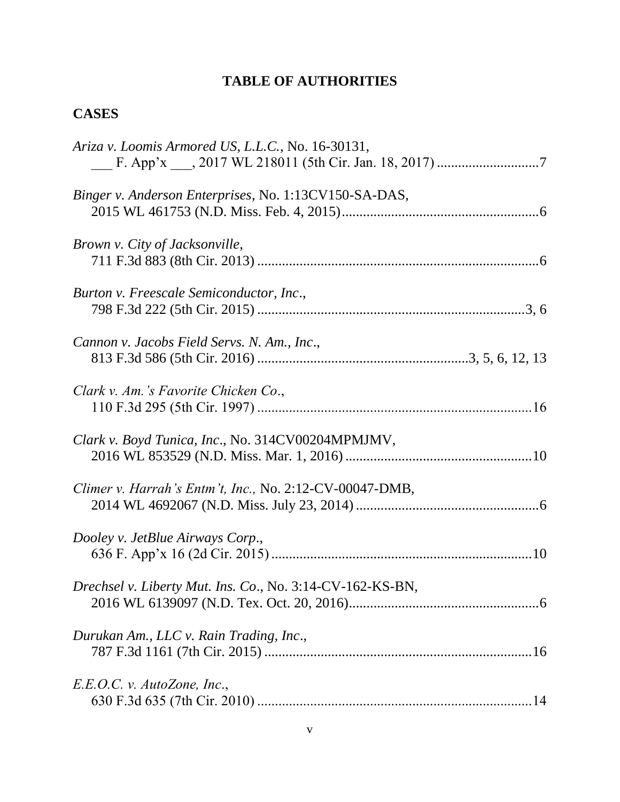# **TABLE OF AUTHORITIES**

# **CASES**

| Ariza v. Loomis Armored US, L.L.C., No. 16-30131,         |
|-----------------------------------------------------------|
| Binger v. Anderson Enterprises, No. 1:13CV150-SA-DAS,     |
| Brown v. City of Jacksonville,                            |
| Burton v. Freescale Semiconductor, Inc.,                  |
| Cannon v. Jacobs Field Servs. N. Am., Inc.,               |
| Clark v. Am.'s Favorite Chicken Co.,                      |
| Clark v. Boyd Tunica, Inc., No. 314CV00204MPMJMV,         |
| Climer v. Harrah's Entm't, Inc., No. 2:12-CV-00047-DMB,   |
| Dooley v. JetBlue Airways Corp.,                          |
| Drechsel v. Liberty Mut. Ins. Co., No. 3:14-CV-162-KS-BN, |
| Durukan Am., LLC v. Rain Trading, Inc.,                   |
| E.E.O.C. v. Autozone, Inc.,                               |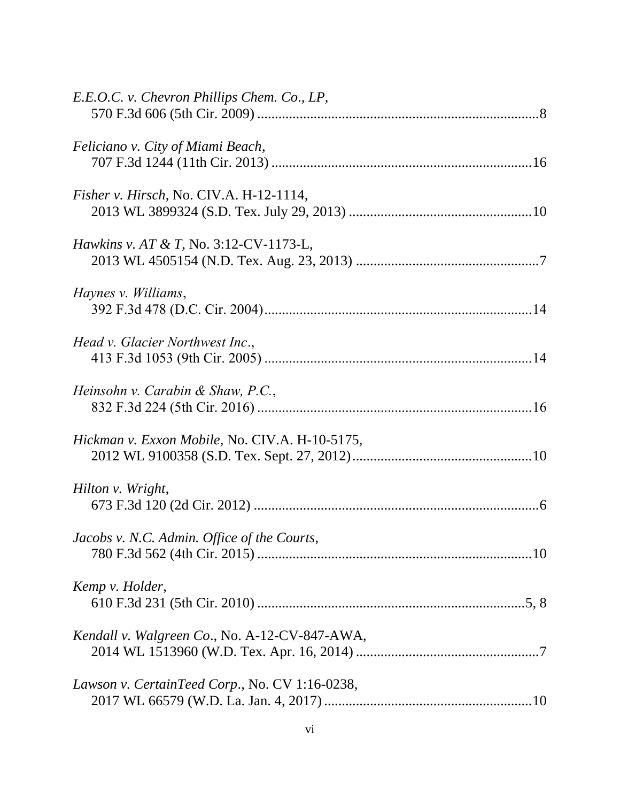| E.E.O.C. v. Chevron Phillips Chem. Co., LP,       |
|---------------------------------------------------|
| Feliciano v. City of Miami Beach,                 |
| Fisher v. Hirsch, No. CIV.A. H-12-1114,           |
| <i>Hawkins v. AT &amp; T, No.</i> 3:12-CV-1173-L, |
| Haynes v. Williams,                               |
| Head v. Glacier Northwest Inc.,                   |
| Heinsohn v. Carabin & Shaw, P.C.,                 |
| Hickman v. Exxon Mobile, No. CIV.A. H-10-5175,    |
| Hilton v. Wright,                                 |
| Jacobs v. N.C. Admin. Office of the Courts,       |
| Kemp v. Holder,                                   |
| Kendall v. Walgreen Co., No. A-12-CV-847-AWA,     |
| Lawson v. CertainTeed Corp., No. CV 1:16-0238,    |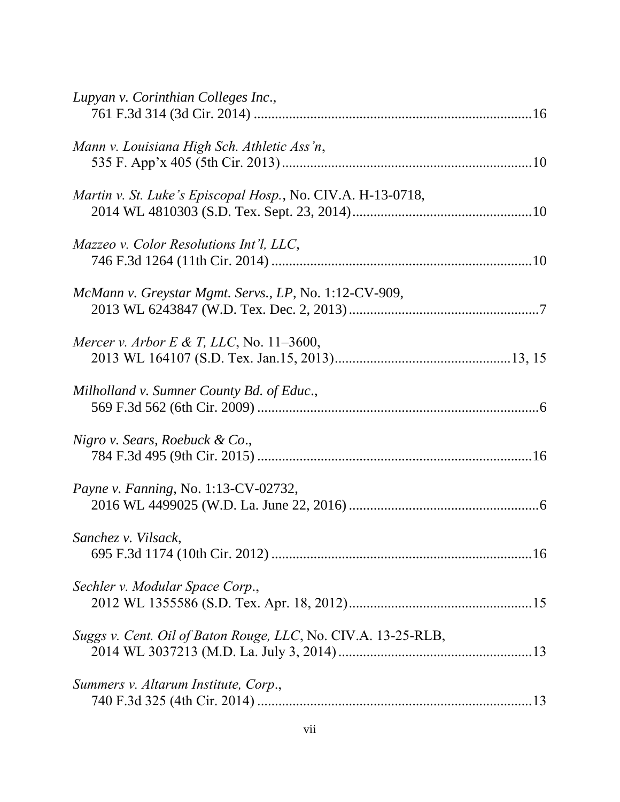| Lupyan v. Corinthian Colleges Inc.,                           |  |
|---------------------------------------------------------------|--|
| Mann v. Louisiana High Sch. Athletic Ass'n,                   |  |
| Martin v. St. Luke's Episcopal Hosp., No. CIV.A. H-13-0718,   |  |
| Mazzeo v. Color Resolutions Int'l, LLC,                       |  |
| McMann v. Greystar Mgmt. Servs., LP, No. 1:12-CV-909,         |  |
| Mercer v. Arbor E & T, LLC, No. 11–3600,                      |  |
| Milholland v. Sumner County Bd. of Educ.,                     |  |
| Nigro v. Sears, Roebuck & Co.,                                |  |
| Payne v. Fanning, No. 1:13-CV-02732,                          |  |
| Sanchez v. Vilsack,                                           |  |
| Sechler v. Modular Space Corp.,                               |  |
| Suggs v. Cent. Oil of Baton Rouge, LLC, No. CIV.A. 13-25-RLB, |  |
| Summers v. Altarum Institute, Corp.,                          |  |
|                                                               |  |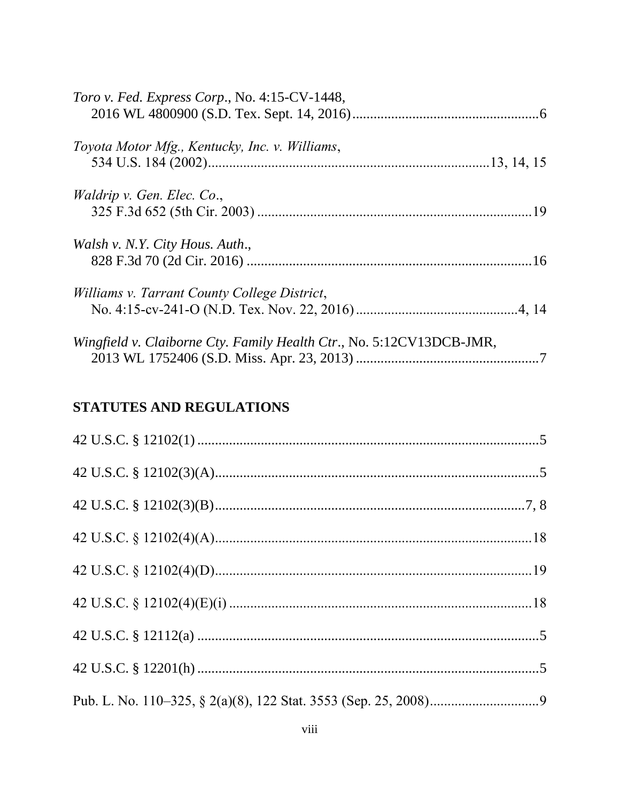| Toro v. Fed. Express Corp., No. 4:15-CV-1448,                        |  |
|----------------------------------------------------------------------|--|
| Toyota Motor Mfg., Kentucky, Inc. v. Williams,                       |  |
| <i>Waldrip v. Gen. Elec. Co.,</i>                                    |  |
| Walsh v. N.Y. City Hous. Auth.,                                      |  |
| Williams v. Tarrant County College District,                         |  |
| Wingfield v. Claiborne Cty. Family Health Ctr., No. 5:12CV13DCB-JMR, |  |

# STATUTES AND REGULATIONS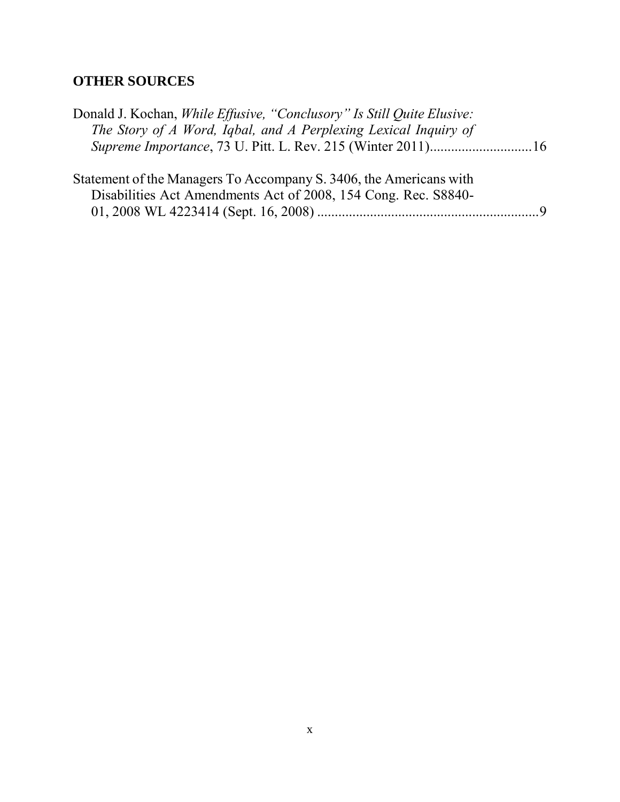# **OTHER SOURCES**

| Donald J. Kochan, <i>While Effusive</i> , "Conclusory" Is Still Quite Elusive:<br>The Story of A Word, Igbal, and A Perplexing Lexical Inquiry of |  |
|---------------------------------------------------------------------------------------------------------------------------------------------------|--|
| Statement of the Managers To Accompany S. 3406, the Americans with<br>Disabilities Act Amendments Act of 2008, 154 Cong. Rec. S8840-              |  |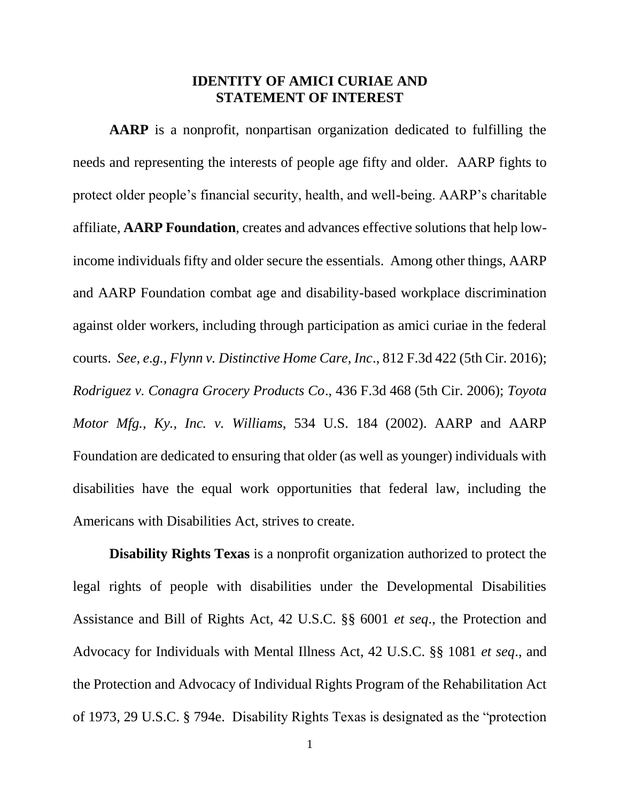### **IDENTITY OF AMICI CURIAE AND STATEMENT OF INTEREST**

**AARP** is a nonprofit, nonpartisan organization dedicated to fulfilling the needs and representing the interests of people age fifty and older. AARP fights to protect older people's financial security, health, and well-being. AARP's charitable affiliate, **AARP Foundation**, creates and advances effective solutions that help lowincome individuals fifty and older secure the essentials. Among other things, AARP and AARP Foundation combat age and disability-based workplace discrimination against older workers, including through participation as amici curiae in the federal courts. *See, e.g., Flynn v. Distinctive Home Care, Inc*., 812 F.3d 422 (5th Cir. 2016); *Rodriguez v. Conagra Grocery Products Co*., 436 F.3d 468 (5th Cir. 2006); *Toyota Motor Mfg., Ky., Inc. v. Williams*, 534 U.S. 184 (2002). AARP and AARP Foundation are dedicated to ensuring that older (as well as younger) individuals with disabilities have the equal work opportunities that federal law, including the Americans with Disabilities Act, strives to create.

**Disability Rights Texas** is a nonprofit organization authorized to protect the legal rights of people with disabilities under the Developmental Disabilities Assistance and Bill of Rights Act, 42 U.S.C. §§ 6001 *et seq*., the Protection and Advocacy for Individuals with Mental Illness Act, 42 U.S.C. §§ 1081 *et seq*., and the Protection and Advocacy of Individual Rights Program of the Rehabilitation Act of 1973, 29 U.S.C. § 794e. Disability Rights Texas is designated as the "protection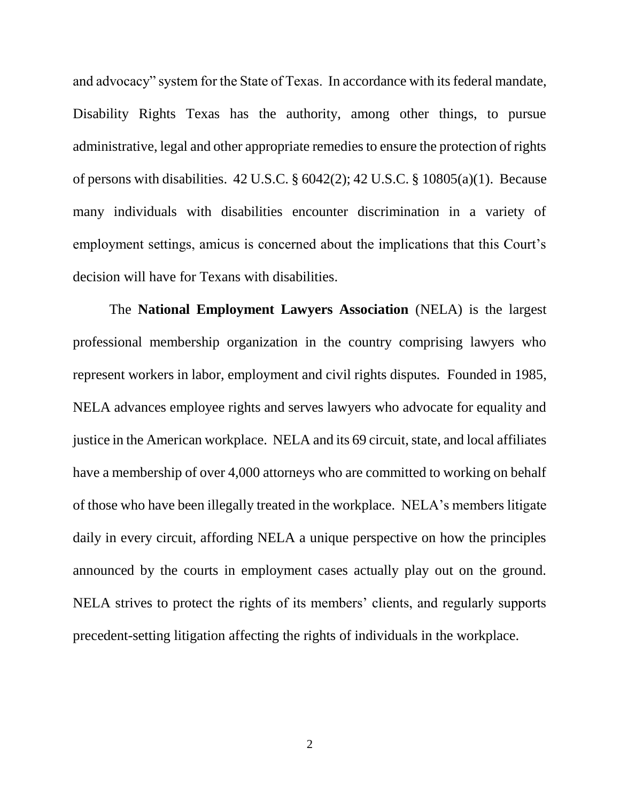and advocacy" system for the State of Texas. In accordance with its federal mandate, Disability Rights Texas has the authority, among other things, to pursue administrative, legal and other appropriate remedies to ensure the protection of rights of persons with disabilities. 42 U.S.C. § 6042(2); 42 U.S.C. § 10805(a)(1). Because many individuals with disabilities encounter discrimination in a variety of employment settings, amicus is concerned about the implications that this Court's decision will have for Texans with disabilities.

The **National Employment Lawyers Association** (NELA) is the largest professional membership organization in the country comprising lawyers who represent workers in labor, employment and civil rights disputes. Founded in 1985, NELA advances employee rights and serves lawyers who advocate for equality and justice in the American workplace. NELA and its 69 circuit, state, and local affiliates have a membership of over 4,000 attorneys who are committed to working on behalf of those who have been illegally treated in the workplace. NELA's members litigate daily in every circuit, affording NELA a unique perspective on how the principles announced by the courts in employment cases actually play out on the ground. NELA strives to protect the rights of its members' clients, and regularly supports precedent-setting litigation affecting the rights of individuals in the workplace.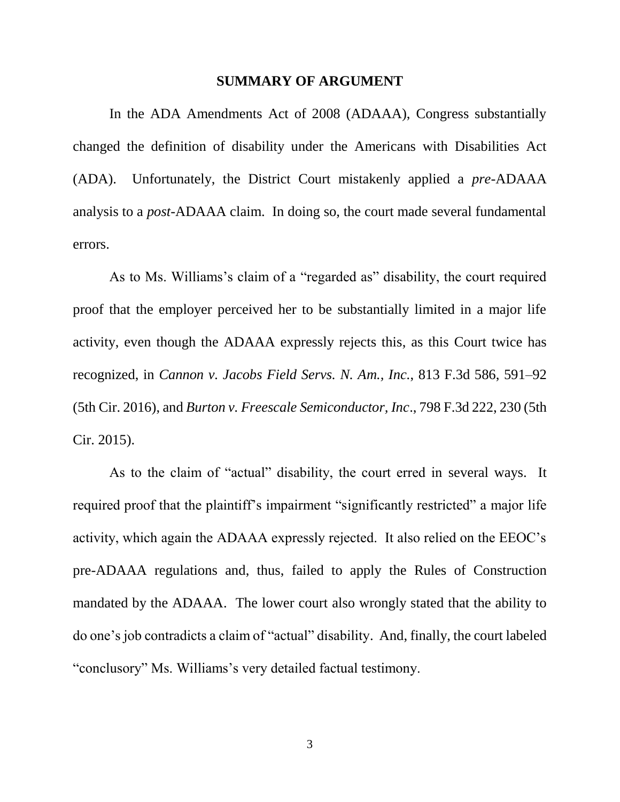#### **SUMMARY OF ARGUMENT**

In the ADA Amendments Act of 2008 (ADAAA), Congress substantially changed the definition of disability under the Americans with Disabilities Act (ADA). Unfortunately, the District Court mistakenly applied a *pre*-ADAAA analysis to a *post*-ADAAA claim. In doing so, the court made several fundamental errors.

As to Ms. Williams's claim of a "regarded as" disability, the court required proof that the employer perceived her to be substantially limited in a major life activity, even though the ADAAA expressly rejects this, as this Court twice has recognized, in *Cannon v. Jacobs Field Servs. N. Am., Inc.*, 813 F.3d 586, 591–92 (5th Cir. 2016), and *Burton v. Freescale Semiconductor, Inc*., 798 F.3d 222, 230 (5th Cir. 2015).

As to the claim of "actual" disability, the court erred in several ways. It required proof that the plaintiff's impairment "significantly restricted" a major life activity, which again the ADAAA expressly rejected. It also relied on the EEOC's pre-ADAAA regulations and, thus, failed to apply the Rules of Construction mandated by the ADAAA. The lower court also wrongly stated that the ability to do one's job contradicts a claim of "actual" disability. And, finally, the court labeled "conclusory" Ms. Williams's very detailed factual testimony.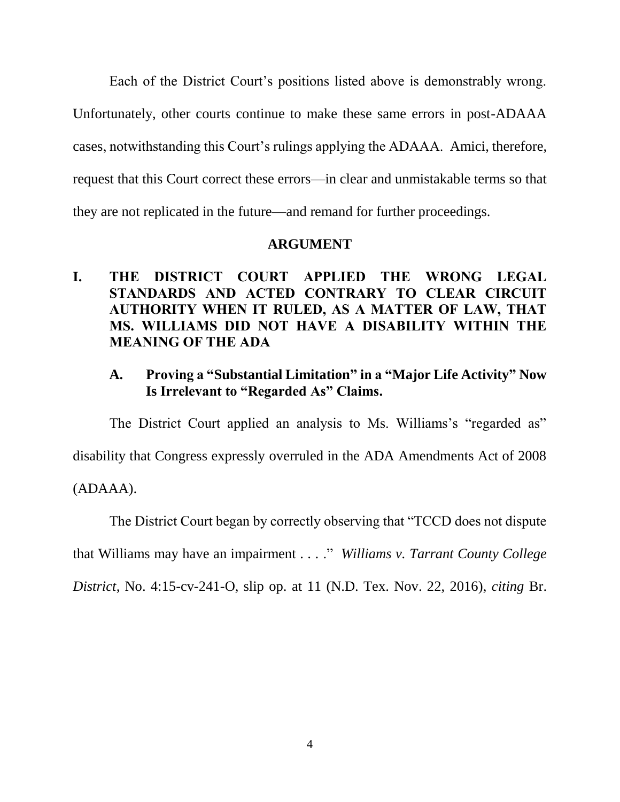Each of the District Court's positions listed above is demonstrably wrong. Unfortunately, other courts continue to make these same errors in post-ADAAA cases, notwithstanding this Court's rulings applying the ADAAA. Amici, therefore, request that this Court correct these errors—in clear and unmistakable terms so that they are not replicated in the future—and remand for further proceedings.

### **ARGUMENT**

**I. THE DISTRICT COURT APPLIED THE WRONG LEGAL STANDARDS AND ACTED CONTRARY TO CLEAR CIRCUIT AUTHORITY WHEN IT RULED, AS A MATTER OF LAW, THAT MS. WILLIAMS DID NOT HAVE A DISABILITY WITHIN THE MEANING OF THE ADA**

## **A. Proving a "Substantial Limitation" in a "Major Life Activity" Now Is Irrelevant to "Regarded As" Claims.**

The District Court applied an analysis to Ms. Williams's "regarded as" disability that Congress expressly overruled in the ADA Amendments Act of 2008 (ADAAA).

The District Court began by correctly observing that "TCCD does not dispute

that Williams may have an impairment . . . ." *Williams v. Tarrant County College* 

*District*, No. 4:15-cv-241-O, slip op. at 11 (N.D. Tex. Nov. 22, 2016), *citing* Br.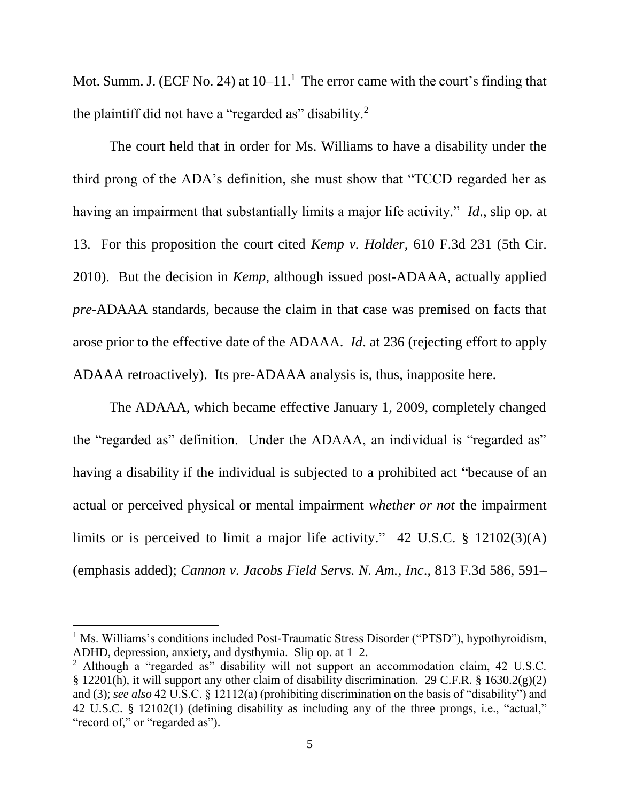Mot. Summ. J. (ECF No. 24) at  $10-11$ .<sup>1</sup> The error came with the court's finding that the plaintiff did not have a "regarded as" disability.<sup>2</sup>

The court held that in order for Ms. Williams to have a disability under the third prong of the ADA's definition, she must show that "TCCD regarded her as having an impairment that substantially limits a major life activity." *Id*., slip op. at 13. For this proposition the court cited *Kemp v. Holder*, 610 F.3d 231 (5th Cir. 2010). But the decision in *Kemp*, although issued post-ADAAA, actually applied *pre*-ADAAA standards, because the claim in that case was premised on facts that arose prior to the effective date of the ADAAA. *Id*. at 236 (rejecting effort to apply ADAAA retroactively). Its pre-ADAAA analysis is, thus, inapposite here.

The ADAAA, which became effective January 1, 2009, completely changed the "regarded as" definition. Under the ADAAA, an individual is "regarded as" having a disability if the individual is subjected to a prohibited act "because of an actual or perceived physical or mental impairment *whether or not* the impairment limits or is perceived to limit a major life activity." 42 U.S.C. § 12102(3)(A) (emphasis added); *Cannon v. Jacobs Field Servs. N. Am., Inc*., 813 F.3d 586, 591–

<sup>&</sup>lt;sup>1</sup> Ms. Williams's conditions included Post-Traumatic Stress Disorder ("PTSD"), hypothyroidism, ADHD, depression, anxiety, and dysthymia. Slip op. at 1–2.

<sup>2</sup> Although a "regarded as" disability will not support an accommodation claim, 42 U.S.C. § 12201(h), it will support any other claim of disability discrimination. 29 C.F.R. § 1630.2(g)(2) and (3); *see also* 42 U.S.C. § 12112(a) (prohibiting discrimination on the basis of "disability") and 42 U.S.C. § 12102(1) (defining disability as including any of the three prongs, i.e., "actual," "record of," or "regarded as").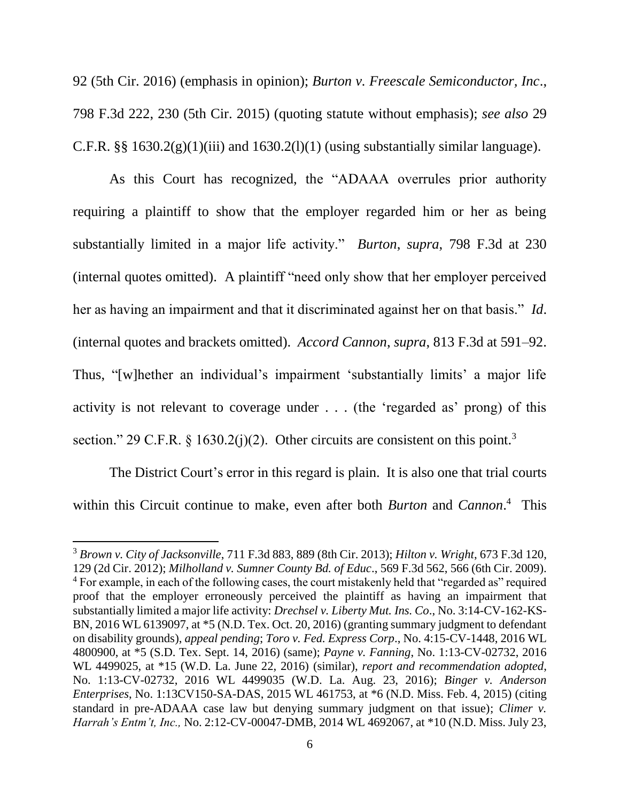92 (5th Cir. 2016) (emphasis in opinion); *Burton v. Freescale Semiconductor, Inc*., 798 F.3d 222, 230 (5th Cir. 2015) (quoting statute without emphasis); *see also* 29 C.F.R.  $\S$ § 1630.2(g)(1)(iii) and 1630.2(l)(1) (using substantially similar language).

As this Court has recognized, the "ADAAA overrules prior authority requiring a plaintiff to show that the employer regarded him or her as being substantially limited in a major life activity." *Burton*, *supra*, 798 F.3d at 230 (internal quotes omitted). A plaintiff "need only show that her employer perceived her as having an impairment and that it discriminated against her on that basis." *Id*. (internal quotes and brackets omitted). *Accord Cannon*, *supra*, 813 F.3d at 591–92. Thus, "[w]hether an individual's impairment 'substantially limits' a major life activity is not relevant to coverage under . . . (the 'regarded as' prong) of this section." 29 C.F.R.  $\frac{1630.2(i)(2)}{20}$ . Other circuits are consistent on this point.<sup>3</sup>

The District Court's error in this regard is plain. It is also one that trial courts within this Circuit continue to make, even after both *Burton* and *Cannon*. 4 This

<sup>3</sup> *Brown v. City of Jacksonville*, 711 F.3d 883, 889 (8th Cir. 2013); *Hilton v. Wright*, 673 F.3d 120, 129 (2d Cir. 2012); *Milholland v. Sumner County Bd. of Educ*., 569 F.3d 562, 566 (6th Cir. 2009). <sup>4</sup> For example, in each of the following cases, the court mistakenly held that "regarded as" required proof that the employer erroneously perceived the plaintiff as having an impairment that substantially limited a major life activity: *Drechsel v. Liberty Mut. Ins. Co*., No. 3:14-CV-162-KS-BN, 2016 WL 6139097, at  $*5$  (N.D. Tex. Oct. 20, 2016) (granting summary judgment to defendant on disability grounds), *appeal pending*; *Toro v. Fed. Express Corp*., No. 4:15-CV-1448, 2016 WL 4800900, at \*5 (S.D. Tex. Sept. 14, 2016) (same); *Payne v. Fanning*, No. 1:13-CV-02732, 2016 WL 4499025, at \*15 (W.D. La. June 22, 2016) (similar), *report and recommendation adopted*, No. 1:13-CV-02732, 2016 WL 4499035 (W.D. La. Aug. 23, 2016); *Binger v. Anderson Enterprises*, No. 1:13CV150-SA-DAS, 2015 WL 461753, at \*6 (N.D. Miss. Feb. 4, 2015) (citing standard in pre-ADAAA case law but denying summary judgment on that issue); *Climer v. Harrah's Entm't, Inc.,* No. 2:12-CV-00047-DMB, 2014 WL 4692067, at \*10 (N.D. Miss. July 23,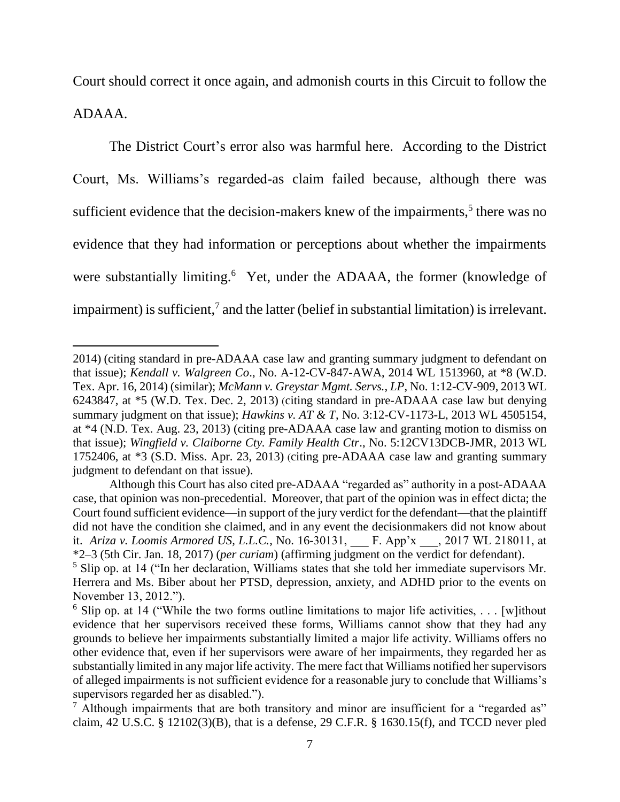Court should correct it once again, and admonish courts in this Circuit to follow the ADAAA.

The District Court's error also was harmful here. According to the District Court, Ms. Williams's regarded-as claim failed because, although there was sufficient evidence that the decision-makers knew of the impairments,<sup>5</sup> there was no evidence that they had information or perceptions about whether the impairments were substantially limiting.<sup>6</sup> Yet, under the ADAAA, the former (knowledge of impairment) is sufficient,<sup>7</sup> and the latter (belief in substantial limitation) is irrelevant.

<sup>2014)</sup> (citing standard in pre-ADAAA case law and granting summary judgment to defendant on that issue); *Kendall v. Walgreen Co*., No. A-12-CV-847-AWA, 2014 WL 1513960, at \*8 (W.D. Tex. Apr. 16, 2014) (similar); *McMann v. Greystar Mgmt. Servs., LP*, No. 1:12-CV-909, 2013 WL 6243847, at \*5 (W.D. Tex. Dec. 2, 2013) (citing standard in pre-ADAAA case law but denying summary judgment on that issue); *Hawkins v. AT & T*, No. 3:12-CV-1173-L, 2013 WL 4505154, at \*4 (N.D. Tex. Aug. 23, 2013) (citing pre-ADAAA case law and granting motion to dismiss on that issue); *Wingfield v. Claiborne Cty. Family Health Ctr*., No. 5:12CV13DCB-JMR, 2013 WL 1752406, at \*3 (S.D. Miss. Apr. 23, 2013) (citing pre-ADAAA case law and granting summary judgment to defendant on that issue).

Although this Court has also cited pre-ADAAA "regarded as" authority in a post-ADAAA case, that opinion was non-precedential. Moreover, that part of the opinion was in effect dicta; the Court found sufficient evidence—in support of the jury verdict for the defendant—that the plaintiff did not have the condition she claimed, and in any event the decisionmakers did not know about it. *Ariza v. Loomis Armored US, L.L.C.*, No. 16-30131, F. App'x \_\_\_, 2017 WL 218011, at \*2–3 (5th Cir. Jan. 18, 2017) (*per curiam*) (affirming judgment on the verdict for defendant).

<sup>5</sup> Slip op. at 14 ("In her declaration, Williams states that she told her immediate supervisors Mr. Herrera and Ms. Biber about her PTSD, depression, anxiety, and ADHD prior to the events on November 13, 2012.").

<sup>&</sup>lt;sup>6</sup> Slip op. at 14 ("While the two forms outline limitations to major life activities, ... [w] ithout evidence that her supervisors received these forms, Williams cannot show that they had any grounds to believe her impairments substantially limited a major life activity. Williams offers no other evidence that, even if her supervisors were aware of her impairments, they regarded her as substantially limited in any major life activity. The mere fact that Williams notified her supervisors of alleged impairments is not sufficient evidence for a reasonable jury to conclude that Williams's supervisors regarded her as disabled.").

 $<sup>7</sup>$  Although impairments that are both transitory and minor are insufficient for a "regarded as"</sup> claim, 42 U.S.C. § 12102(3)(B), that is a defense, 29 C.F.R. § 1630.15(f), and TCCD never pled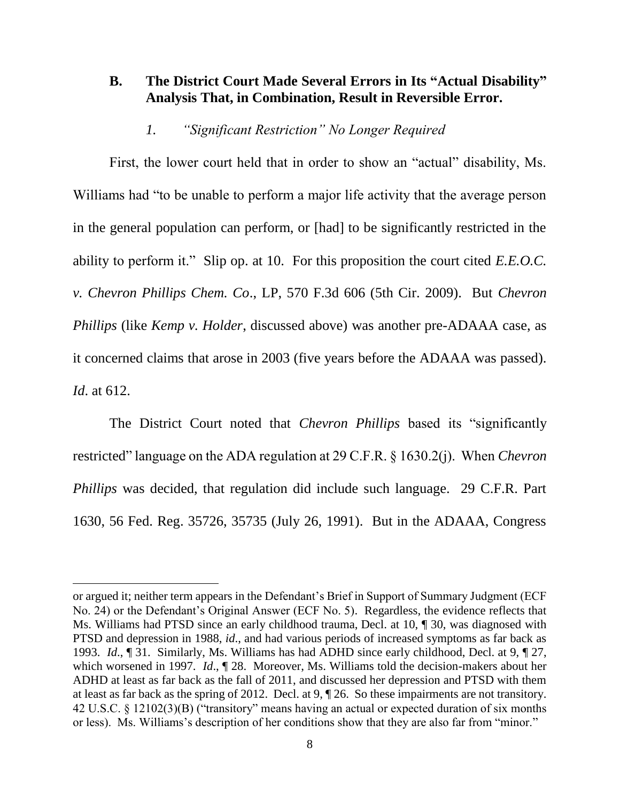### **B. The District Court Made Several Errors in Its "Actual Disability" Analysis That, in Combination, Result in Reversible Error.**

### *1. "Significant Restriction" No Longer Required*

First, the lower court held that in order to show an "actual" disability, Ms. Williams had "to be unable to perform a major life activity that the average person in the general population can perform, or [had] to be significantly restricted in the ability to perform it." Slip op. at 10. For this proposition the court cited *E.E.O.C. v. Chevron Phillips Chem. Co*., LP, 570 F.3d 606 (5th Cir. 2009). But *Chevron Phillips* (like *Kemp v. Holder*, discussed above) was another pre-ADAAA case, as it concerned claims that arose in 2003 (five years before the ADAAA was passed). *Id*. at 612.

The District Court noted that *Chevron Phillips* based its "significantly restricted" language on the ADA regulation at 29 C.F.R. § 1630.2(j). When *Chevron Phillips* was decided, that regulation did include such language. 29 C.F.R. Part 1630, 56 Fed. Reg. 35726, 35735 (July 26, 1991). But in the ADAAA, Congress

or argued it; neither term appears in the Defendant's Brief in Support of Summary Judgment (ECF No. 24) or the Defendant's Original Answer (ECF No. 5). Regardless, the evidence reflects that Ms. Williams had PTSD since an early childhood trauma, Decl. at 10, ¶ 30, was diagnosed with PTSD and depression in 1988, *id*., and had various periods of increased symptoms as far back as 1993. *Id*., ¶ 31. Similarly, Ms. Williams has had ADHD since early childhood, Decl. at 9, ¶ 27, which worsened in 1997. *Id.*, 128. Moreover, Ms. Williams told the decision-makers about her ADHD at least as far back as the fall of 2011, and discussed her depression and PTSD with them at least as far back as the spring of 2012. Decl. at 9, ¶ 26. So these impairments are not transitory. 42 U.S.C. § 12102(3)(B) ("transitory" means having an actual or expected duration of six months or less). Ms. Williams's description of her conditions show that they are also far from "minor."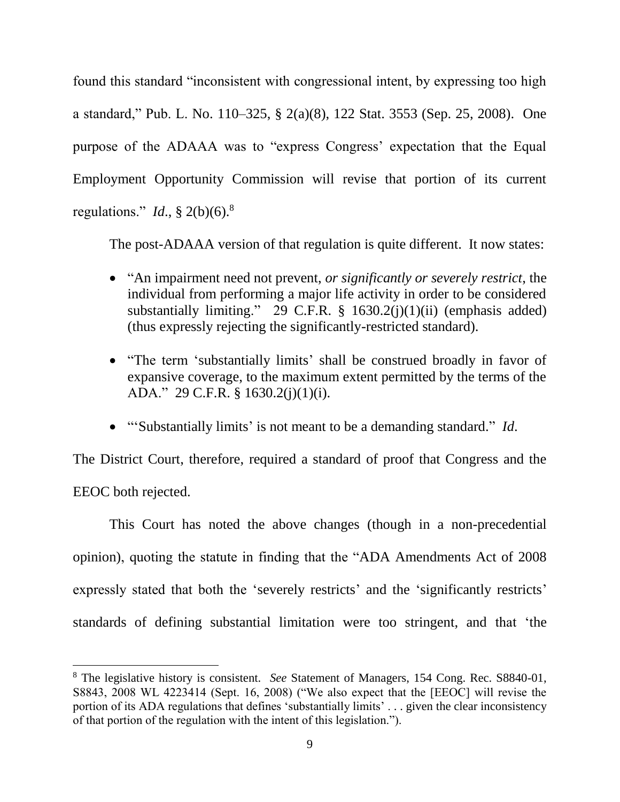found this standard "inconsistent with congressional intent, by expressing too high a standard," Pub. L. No. 110–325, § 2(a)(8), 122 Stat. 3553 (Sep. 25, 2008). One purpose of the ADAAA was to "express Congress' expectation that the Equal Employment Opportunity Commission will revise that portion of its current regulations." *Id*., § 2(b)(6).<sup>8</sup>

The post-ADAAA version of that regulation is quite different. It now states:

- "An impairment need not prevent, *or significantly or severely restrict*, the individual from performing a major life activity in order to be considered substantially limiting." 29 C.F.R.  $\S$  1630.2(j)(1)(ii) (emphasis added) (thus expressly rejecting the significantly-restricted standard).
- "The term 'substantially limits' shall be construed broadly in favor of expansive coverage, to the maximum extent permitted by the terms of the ADA." 29 C.F.R. § 1630.2(j)(1)(i).
- "'Substantially limits' is not meant to be a demanding standard." *Id*.

The District Court, therefore, required a standard of proof that Congress and the EEOC both rejected.

This Court has noted the above changes (though in a non-precedential opinion), quoting the statute in finding that the "ADA Amendments Act of 2008 expressly stated that both the 'severely restricts' and the 'significantly restricts' standards of defining substantial limitation were too stringent, and that 'the

<sup>8</sup> The legislative history is consistent. *See* Statement of Managers, 154 Cong. Rec. S8840-01, S8843, 2008 WL 4223414 (Sept. 16, 2008) ("We also expect that the [EEOC] will revise the portion of its ADA regulations that defines 'substantially limits' . . . given the clear inconsistency of that portion of the regulation with the intent of this legislation.").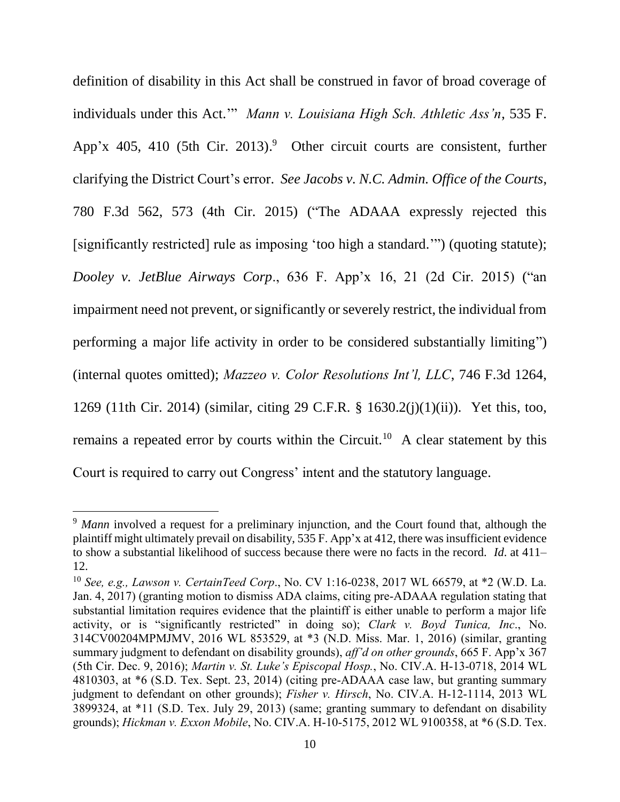definition of disability in this Act shall be construed in favor of broad coverage of individuals under this Act.'" *Mann v. Louisiana High Sch. Athletic Ass'n*, 535 F. App'x 405, 410 (5th Cir. 2013).<sup>9</sup> Other circuit courts are consistent, further clarifying the District Court's error. *See Jacobs v. N.C. Admin. Office of the Courts*, 780 F.3d 562, 573 (4th Cir. 2015) ("The ADAAA expressly rejected this [significantly restricted] rule as imposing 'too high a standard.'") (quoting statute); *Dooley v. JetBlue Airways Corp*., 636 F. App'x 16, 21 (2d Cir. 2015) ("an impairment need not prevent, or significantly or severely restrict, the individual from performing a major life activity in order to be considered substantially limiting") (internal quotes omitted); *Mazzeo v. Color Resolutions Int'l, LLC*, 746 F.3d 1264, 1269 (11th Cir. 2014) (similar, citing 29 C.F.R. § 1630.2(j)(1)(ii)). Yet this, too, remains a repeated error by courts within the Circuit.<sup>10</sup> A clear statement by this Court is required to carry out Congress' intent and the statutory language.

<sup>&</sup>lt;sup>9</sup> Mann involved a request for a preliminary injunction, and the Court found that, although the plaintiff might ultimately prevail on disability, 535 F. App'x at 412, there was insufficient evidence to show a substantial likelihood of success because there were no facts in the record. *Id*. at 411– 12.

<sup>10</sup> *See, e.g., Lawson v. CertainTeed Corp*., No. CV 1:16-0238, 2017 WL 66579, at \*2 (W.D. La. Jan. 4, 2017) (granting motion to dismiss ADA claims, citing pre-ADAAA regulation stating that substantial limitation requires evidence that the plaintiff is either unable to perform a major life activity, or is "significantly restricted" in doing so); *Clark v. Boyd Tunica, Inc*., No. 314CV00204MPMJMV, 2016 WL 853529, at \*3 (N.D. Miss. Mar. 1, 2016) (similar, granting summary judgment to defendant on disability grounds), *aff'd on other grounds*, 665 F. App'x 367 (5th Cir. Dec. 9, 2016); *Martin v. St. Luke's Episcopal Hosp.*, No. CIV.A. H-13-0718, 2014 WL 4810303, at \*6 (S.D. Tex. Sept. 23, 2014) (citing pre-ADAAA case law, but granting summary judgment to defendant on other grounds); *Fisher v. Hirsch*, No. CIV.A. H-12-1114, 2013 WL 3899324, at \*11 (S.D. Tex. July 29, 2013) (same; granting summary to defendant on disability grounds); *Hickman v. Exxon Mobile*, No. CIV.A. H-10-5175, 2012 WL 9100358, at \*6 (S.D. Tex.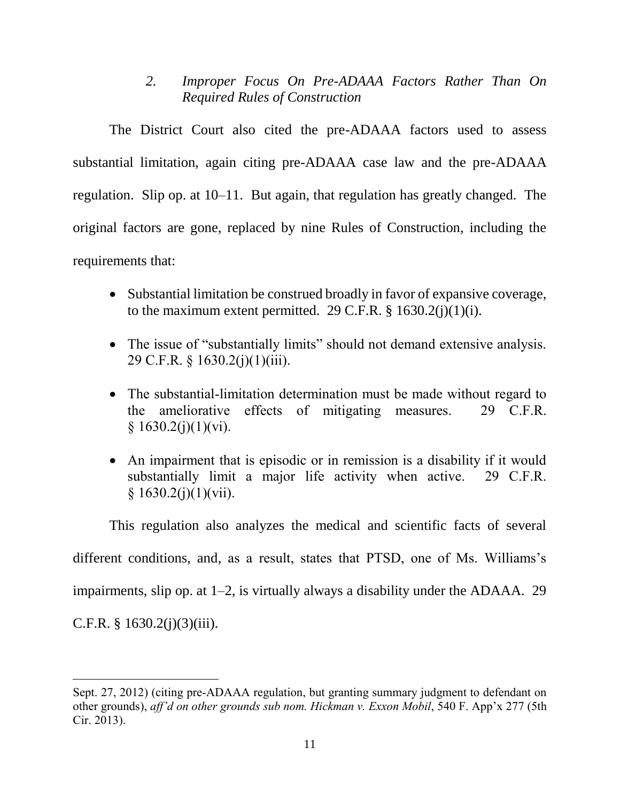*2. Improper Focus On Pre-ADAAA Factors Rather Than On Required Rules of Construction*

The District Court also cited the pre-ADAAA factors used to assess substantial limitation, again citing pre-ADAAA case law and the pre-ADAAA regulation. Slip op. at 10–11. But again, that regulation has greatly changed. The original factors are gone, replaced by nine Rules of Construction, including the requirements that:

- Substantial limitation be construed broadly in favor of expansive coverage, to the maximum extent permitted. 29 C.F.R.  $\S$  1630.2(j)(1)(i).
- The issue of "substantially limits" should not demand extensive analysis. 29 C.F.R. § 1630.2(j)(1)(iii).
- The substantial-limitation determination must be made without regard to the ameliorative effects of mitigating measures. 29 C.F.R.  $§ 1630.2(j)(1)(vi).$
- An impairment that is episodic or in remission is a disability if it would substantially limit a major life activity when active. 29 C.F.R.  $§ 1630.2(j)(1)(vii).$

This regulation also analyzes the medical and scientific facts of several different conditions, and, as a result, states that PTSD, one of Ms. Williams's impairments, slip op. at 1–2, is virtually always a disability under the ADAAA. 29 C.F.R.  $§$  1630.2(j)(3)(iii).

Sept. 27, 2012) (citing pre-ADAAA regulation, but granting summary judgment to defendant on other grounds), *aff'd on other grounds sub nom. Hickman v. Exxon Mobil*, 540 F. App'x 277 (5th Cir. 2013).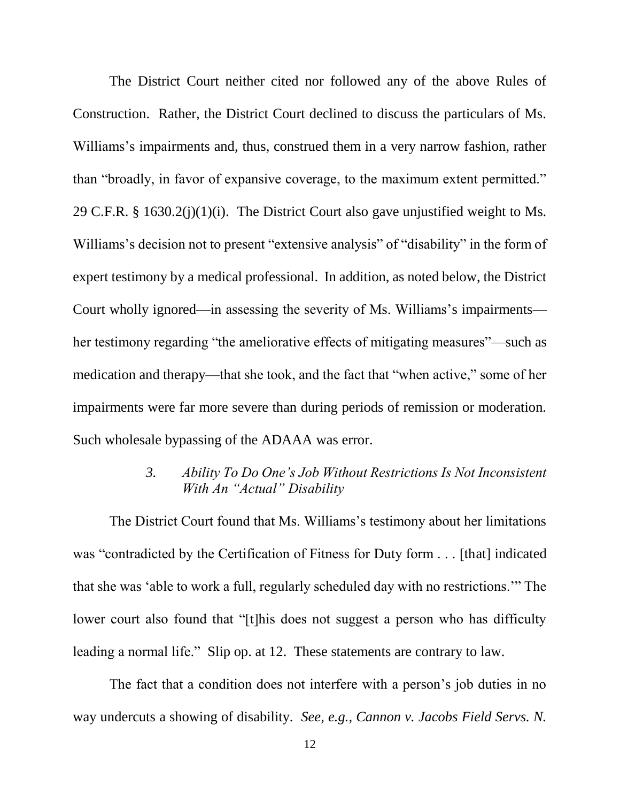The District Court neither cited nor followed any of the above Rules of Construction. Rather, the District Court declined to discuss the particulars of Ms. Williams's impairments and, thus, construed them in a very narrow fashion, rather than "broadly, in favor of expansive coverage, to the maximum extent permitted." 29 C.F.R. § 1630.2(j)(1)(i). The District Court also gave unjustified weight to Ms. Williams's decision not to present "extensive analysis" of "disability" in the form of expert testimony by a medical professional. In addition, as noted below, the District Court wholly ignored—in assessing the severity of Ms. Williams's impairments her testimony regarding "the ameliorative effects of mitigating measures"—such as medication and therapy—that she took, and the fact that "when active," some of her impairments were far more severe than during periods of remission or moderation. Such wholesale bypassing of the ADAAA was error.

### *3. Ability To Do One's Job Without Restrictions Is Not Inconsistent With An "Actual" Disability*

The District Court found that Ms. Williams's testimony about her limitations was "contradicted by the Certification of Fitness for Duty form . . . [that] indicated that she was 'able to work a full, regularly scheduled day with no restrictions.'" The lower court also found that "[t]his does not suggest a person who has difficulty leading a normal life." Slip op. at 12. These statements are contrary to law.

The fact that a condition does not interfere with a person's job duties in no way undercuts a showing of disability. *See, e.g., Cannon v. Jacobs Field Servs. N.*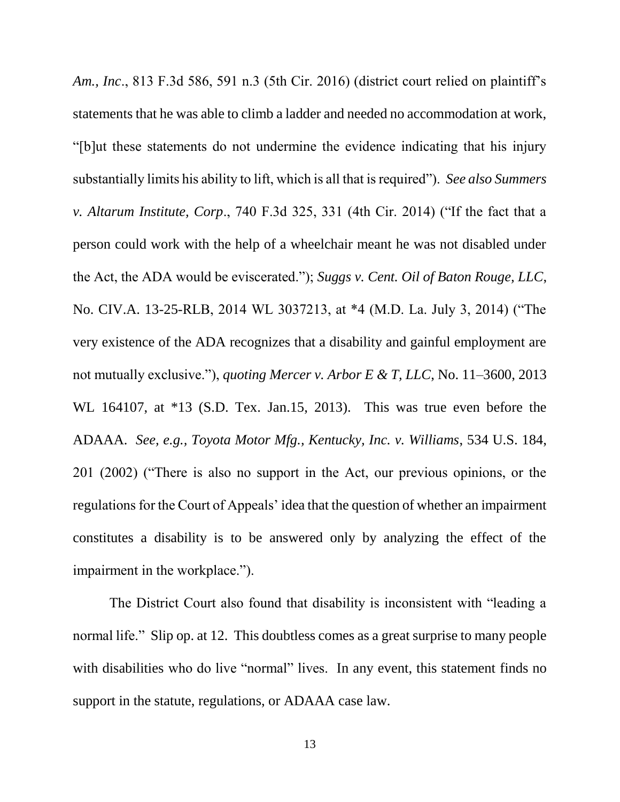*Am., Inc*., 813 F.3d 586, 591 n.3 (5th Cir. 2016) (district court relied on plaintiff's statements that he was able to climb a ladder and needed no accommodation at work, "[b]ut these statements do not undermine the evidence indicating that his injury substantially limits his ability to lift, which is all that is required"). *See also Summers v. Altarum Institute, Corp*., 740 F.3d 325, 331 (4th Cir. 2014) ("If the fact that a person could work with the help of a wheelchair meant he was not disabled under the Act, the ADA would be eviscerated."); *Suggs v. Cent. Oil of Baton Rouge, LLC*, No. CIV.A. 13-25-RLB, 2014 WL 3037213, at \*4 (M.D. La. July 3, 2014) ("The very existence of the ADA recognizes that a disability and gainful employment are not mutually exclusive."), *quoting Mercer v. Arbor E & T, LLC*, No. 11–3600, 2013 WL 164107, at \*13 (S.D. Tex. Jan.15, 2013). This was true even before the ADAAA. *See, e.g., Toyota Motor Mfg., Kentucky, Inc. v. Williams*, 534 U.S. 184, 201 (2002) ("There is also no support in the Act, our previous opinions, or the regulations for the Court of Appeals' idea that the question of whether an impairment constitutes a disability is to be answered only by analyzing the effect of the impairment in the workplace.").

The District Court also found that disability is inconsistent with "leading a normal life." Slip op. at 12. This doubtless comes as a great surprise to many people with disabilities who do live "normal" lives. In any event, this statement finds no support in the statute, regulations, or ADAAA case law.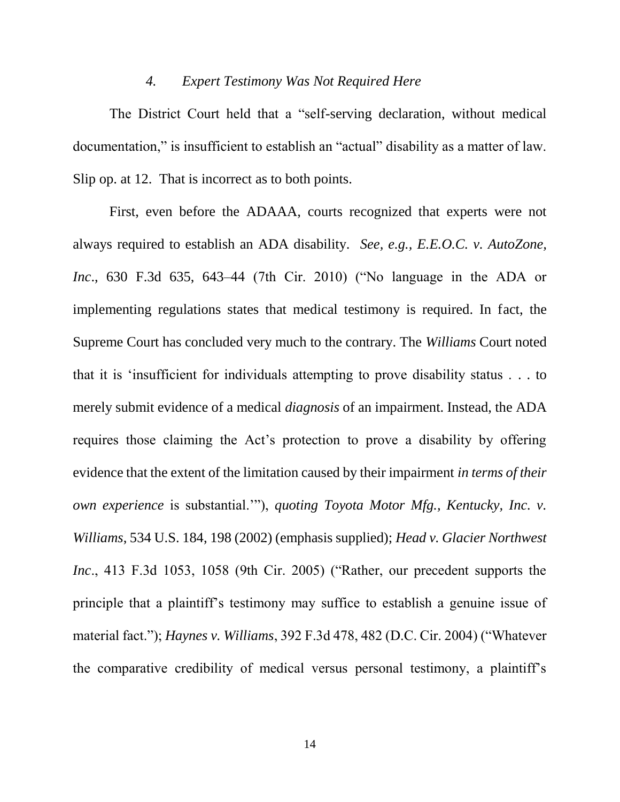#### *4. Expert Testimony Was Not Required Here*

The District Court held that a "self-serving declaration, without medical documentation," is insufficient to establish an "actual" disability as a matter of law. Slip op. at 12. That is incorrect as to both points.

First, even before the ADAAA, courts recognized that experts were not always required to establish an ADA disability. *See, e.g., E.E.O.C. v. AutoZone, Inc*., 630 F.3d 635, 643–44 (7th Cir. 2010) ("No language in the ADA or implementing regulations states that medical testimony is required. In fact, the Supreme Court has concluded very much to the contrary. The *Williams* Court noted that it is 'insufficient for individuals attempting to prove disability status . . . to merely submit evidence of a medical *diagnosis* of an impairment. Instead, the ADA requires those claiming the Act's protection to prove a disability by offering evidence that the extent of the limitation caused by their impairment *in terms of their own experience* is substantial.'"), *quoting Toyota Motor Mfg., Kentucky, Inc. v. Williams*, 534 U.S. 184, 198 (2002) (emphasis supplied); *Head v. Glacier Northwest Inc*., 413 F.3d 1053, 1058 (9th Cir. 2005) ("Rather, our precedent supports the principle that a plaintiff's testimony may suffice to establish a genuine issue of material fact."); *Haynes v. Williams*, 392 F.3d 478, 482 (D.C. Cir. 2004) ("Whatever the comparative credibility of medical versus personal testimony, a plaintiff's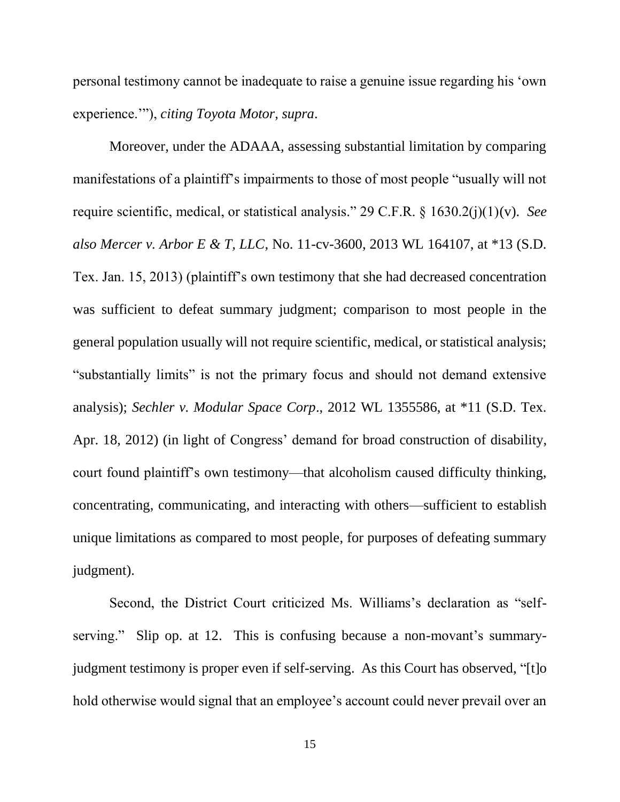personal testimony cannot be inadequate to raise a genuine issue regarding his 'own experience.'"), *citing Toyota Motor*, *supra*.

Moreover, under the ADAAA, assessing substantial limitation by comparing manifestations of a plaintiff's impairments to those of most people "usually will not require scientific, medical, or statistical analysis." 29 C.F.R. § 1630.2(j)(1)(v). *See also Mercer v. Arbor E & T, LLC*, No. 11-cv-3600, 2013 WL 164107, at \*13 (S.D. Tex. Jan. 15, 2013) (plaintiff's own testimony that she had decreased concentration was sufficient to defeat summary judgment; comparison to most people in the general population usually will not require scientific, medical, or statistical analysis; "substantially limits" is not the primary focus and should not demand extensive analysis); *Sechler v. Modular Space Corp*., 2012 WL 1355586, at \*11 (S.D. Tex. Apr. 18, 2012) (in light of Congress' demand for broad construction of disability, court found plaintiff's own testimony—that alcoholism caused difficulty thinking, concentrating, communicating, and interacting with others—sufficient to establish unique limitations as compared to most people, for purposes of defeating summary judgment).

Second, the District Court criticized Ms. Williams's declaration as "selfserving." Slip op. at 12. This is confusing because a non-movant's summaryjudgment testimony is proper even if self-serving. As this Court has observed, "[t]o hold otherwise would signal that an employee's account could never prevail over an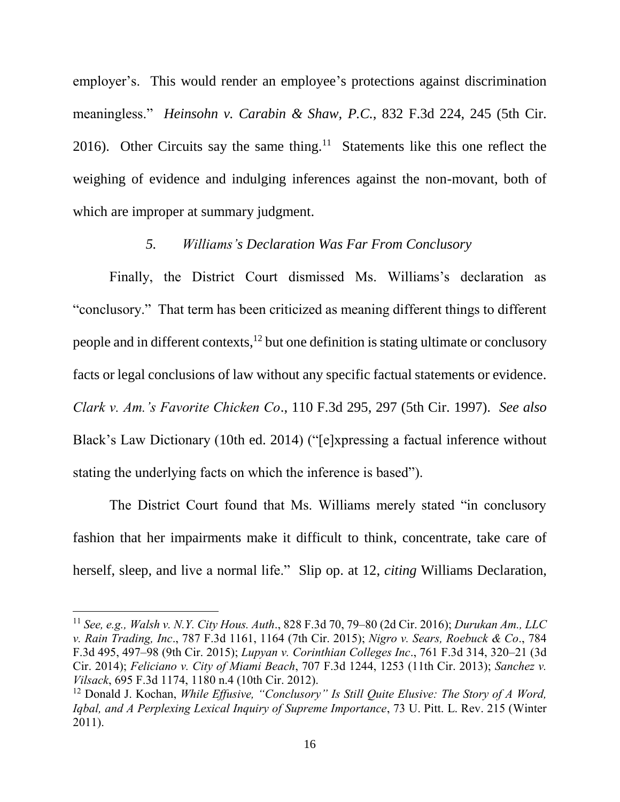employer's. This would render an employee's protections against discrimination meaningless." *Heinsohn v. Carabin & Shaw, P.C.*, 832 F.3d 224, 245 (5th Cir. 2016). Other Circuits say the same thing.<sup>11</sup> Statements like this one reflect the weighing of evidence and indulging inferences against the non-movant, both of which are improper at summary judgment.

### *5. Williams's Declaration Was Far From Conclusory*

Finally, the District Court dismissed Ms. Williams's declaration as "conclusory." That term has been criticized as meaning different things to different people and in different contexts, $12$  but one definition is stating ultimate or conclusory facts or legal conclusions of law without any specific factual statements or evidence. *Clark v. Am.'s Favorite Chicken Co*., 110 F.3d 295, 297 (5th Cir. 1997). *See also* Black's Law Dictionary (10th ed. 2014) ("[e]xpressing a factual inference without stating the underlying facts on which the inference is based").

The District Court found that Ms. Williams merely stated "in conclusory fashion that her impairments make it difficult to think, concentrate, take care of herself, sleep, and live a normal life." Slip op. at 12, *citing* Williams Declaration,

<sup>11</sup> *See, e.g., Walsh v. N.Y. City Hous. Auth*., 828 F.3d 70, 79–80 (2d Cir. 2016); *Durukan Am., LLC v. Rain Trading, Inc*., 787 F.3d 1161, 1164 (7th Cir. 2015); *Nigro v. Sears, Roebuck & Co*., 784 F.3d 495, 497–98 (9th Cir. 2015); *Lupyan v. Corinthian Colleges Inc*., 761 F.3d 314, 320–21 (3d Cir. 2014); *Feliciano v. City of Miami Beach*, 707 F.3d 1244, 1253 (11th Cir. 2013); *Sanchez v. Vilsack*, 695 F.3d 1174, 1180 n.4 (10th Cir. 2012).

<sup>12</sup> Donald J. Kochan, *While Effusive, "Conclusory" Is Still Quite Elusive: The Story of A Word, Iqbal, and A Perplexing Lexical Inquiry of Supreme Importance*, 73 U. Pitt. L. Rev. 215 (Winter 2011).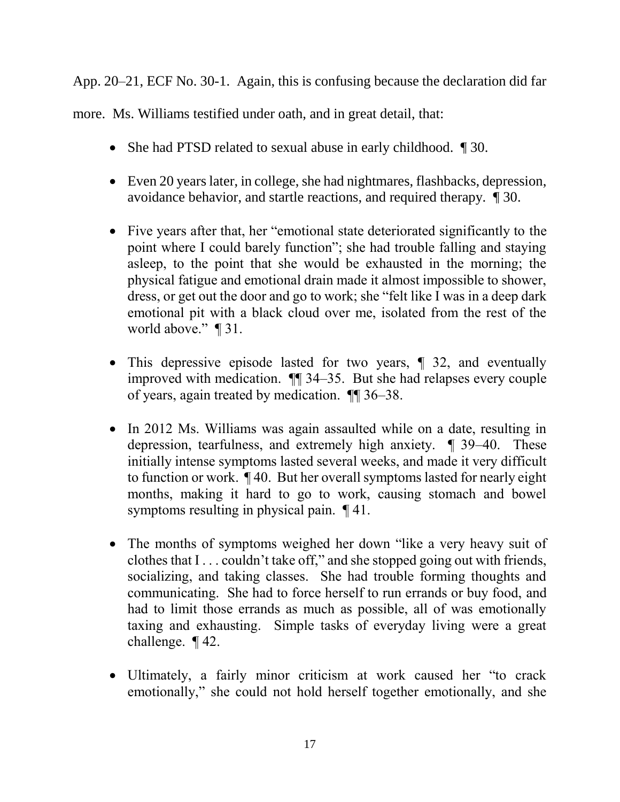App. 20–21, ECF No. 30-1. Again, this is confusing because the declaration did far

more. Ms. Williams testified under oath, and in great detail, that:

- She had PTSD related to sexual abuse in early childhood.  $\parallel$  30.
- Even 20 years later, in college, she had nightmares, flashbacks, depression, avoidance behavior, and startle reactions, and required therapy. ¶ 30.
- Five years after that, her "emotional state deteriorated significantly to the point where I could barely function"; she had trouble falling and staying asleep, to the point that she would be exhausted in the morning; the physical fatigue and emotional drain made it almost impossible to shower, dress, or get out the door and go to work; she "felt like I was in a deep dark emotional pit with a black cloud over me, isolated from the rest of the world above." ¶ 31.
- This depressive episode lasted for two years,  $\parallel$  32, and eventually improved with medication. ¶¶ 34–35. But she had relapses every couple of years, again treated by medication. ¶¶ 36–38.
- In 2012 Ms. Williams was again assaulted while on a date, resulting in depression, tearfulness, and extremely high anxiety. ¶ 39–40. These initially intense symptoms lasted several weeks, and made it very difficult to function or work. ¶ 40. But her overall symptoms lasted for nearly eight months, making it hard to go to work, causing stomach and bowel symptoms resulting in physical pain. ¶ 41.
- The months of symptoms weighed her down "like a very heavy suit of clothes that I . . . couldn't take off," and she stopped going out with friends, socializing, and taking classes. She had trouble forming thoughts and communicating. She had to force herself to run errands or buy food, and had to limit those errands as much as possible, all of was emotionally taxing and exhausting. Simple tasks of everyday living were a great challenge. ¶ 42.
- Ultimately, a fairly minor criticism at work caused her "to crack emotionally," she could not hold herself together emotionally, and she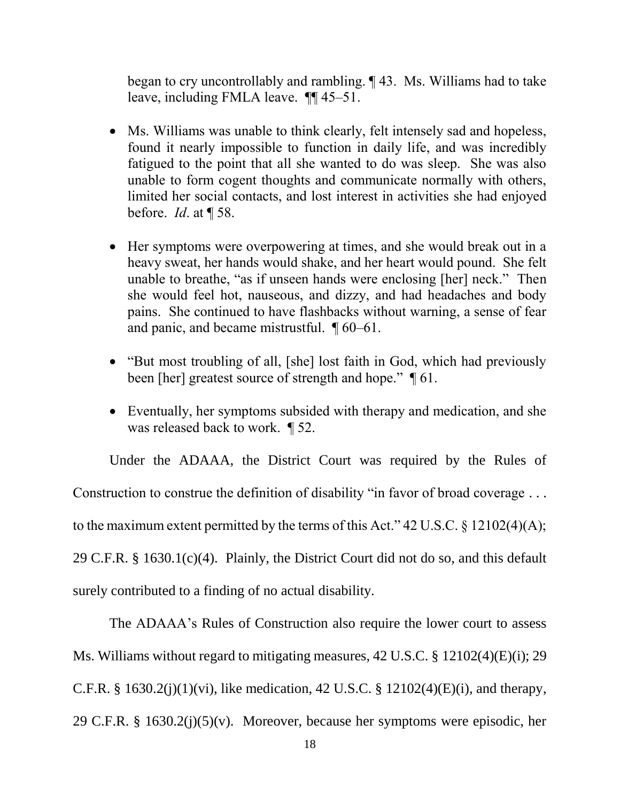began to cry uncontrollably and rambling. ¶ 43. Ms. Williams had to take leave, including FMLA leave. ¶¶ 45–51.

- Ms. Williams was unable to think clearly, felt intensely sad and hopeless, found it nearly impossible to function in daily life, and was incredibly fatigued to the point that all she wanted to do was sleep. She was also unable to form cogent thoughts and communicate normally with others, limited her social contacts, and lost interest in activities she had enjoyed before. *Id*. at ¶ 58.
- Her symptoms were overpowering at times, and she would break out in a heavy sweat, her hands would shake, and her heart would pound. She felt unable to breathe, "as if unseen hands were enclosing [her] neck." Then she would feel hot, nauseous, and dizzy, and had headaches and body pains. She continued to have flashbacks without warning, a sense of fear and panic, and became mistrustful. ¶ 60–61.
- "But most troubling of all, [she] lost faith in God, which had previously been [her] greatest source of strength and hope."  $\P$  61.
- Eventually, her symptoms subsided with therapy and medication, and she was released back to work. ¶ 52.

Under the ADAAA, the District Court was required by the Rules of Construction to construe the definition of disability "in favor of broad coverage ... to the maximum extent permitted by the terms of this Act." 42 U.S.C. § 12102(4)(A); 29 C.F.R. § 1630.1(c)(4). Plainly, the District Court did not do so, and this default surely contributed to a finding of no actual disability.

The ADAAA's Rules of Construction also require the lower court to assess Ms. Williams without regard to mitigating measures, 42 U.S.C. § 12102(4)(E)(i); 29 C.F.R. § 1630.2(j)(1)(vi), like medication, 42 U.S.C. § 12102(4)(E)(i), and therapy, 29 C.F.R. § 1630.2(j)(5)(v). Moreover, because her symptoms were episodic, her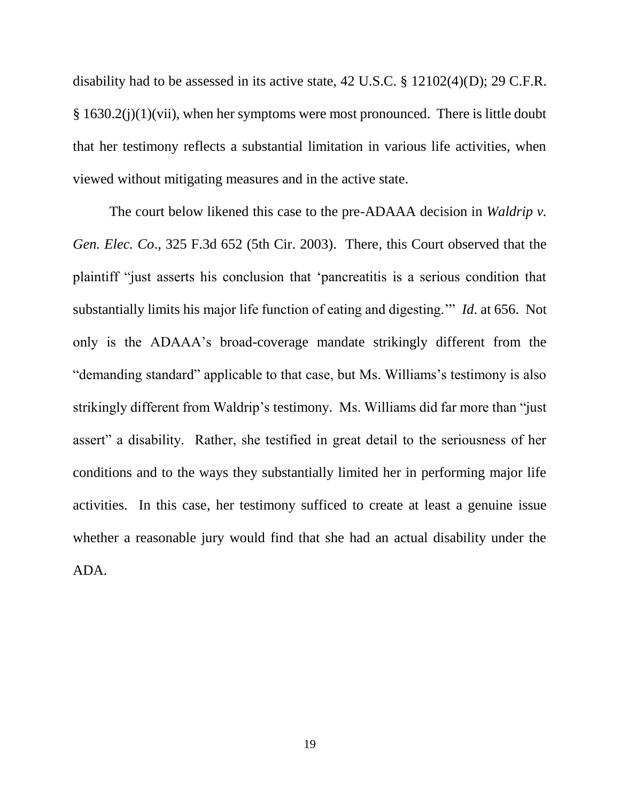disability had to be assessed in its active state, 42 U.S.C. § 12102(4)(D); 29 C.F.R. § 1630.2(j)(1)(vii), when her symptoms were most pronounced. There is little doubt that her testimony reflects a substantial limitation in various life activities, when viewed without mitigating measures and in the active state.

The court below likened this case to the pre-ADAAA decision in *Waldrip v. Gen. Elec. Co*., 325 F.3d 652 (5th Cir. 2003). There, this Court observed that the plaintiff "just asserts his conclusion that 'pancreatitis is a serious condition that substantially limits his major life function of eating and digesting.'" *Id*. at 656. Not only is the ADAAA's broad-coverage mandate strikingly different from the "demanding standard" applicable to that case, but Ms. Williams's testimony is also strikingly different from Waldrip's testimony. Ms. Williams did far more than "just assert" a disability. Rather, she testified in great detail to the seriousness of her conditions and to the ways they substantially limited her in performing major life activities. In this case, her testimony sufficed to create at least a genuine issue whether a reasonable jury would find that she had an actual disability under the ADA.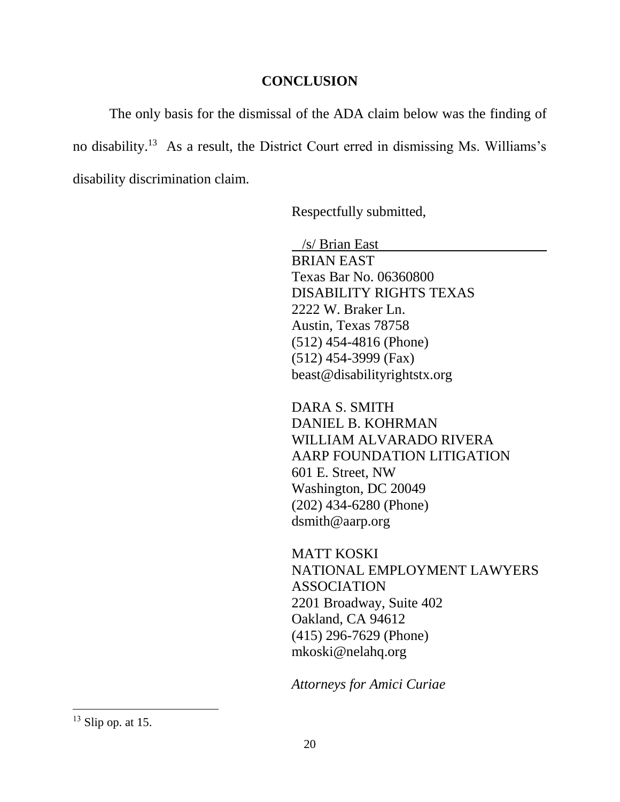#### **CONCLUSION**

The only basis for the dismissal of the ADA claim below was the finding of no disability. 13 As a result, the District Court erred in dismissing Ms. Williams's disability discrimination claim.

Respectfully submitted,

 /s/ Brian East BRIAN EAST Texas Bar No. 06360800 DISABILITY RIGHTS TEXAS 2222 W. Braker Ln. Austin, Texas 78758 (512) 454-4816 (Phone) (512) 454-3999 (Fax) beast@disabilityrightstx.org

DARA S. SMITH DANIEL B. KOHRMAN WILLIAM ALVARADO RIVERA AARP FOUNDATION LITIGATION 601 E. Street, NW Washington, DC 20049 (202) 434-6280 (Phone) dsmith@aarp.org

MATT KOSKI NATIONAL EMPLOYMENT LAWYERS ASSOCIATION 2201 Broadway, Suite 402 Oakland, CA 94612 (415) 296-7629 (Phone) mkoski@nelahq.org

*Attorneys for Amici Curiae*

 $13$  Slip op. at 15.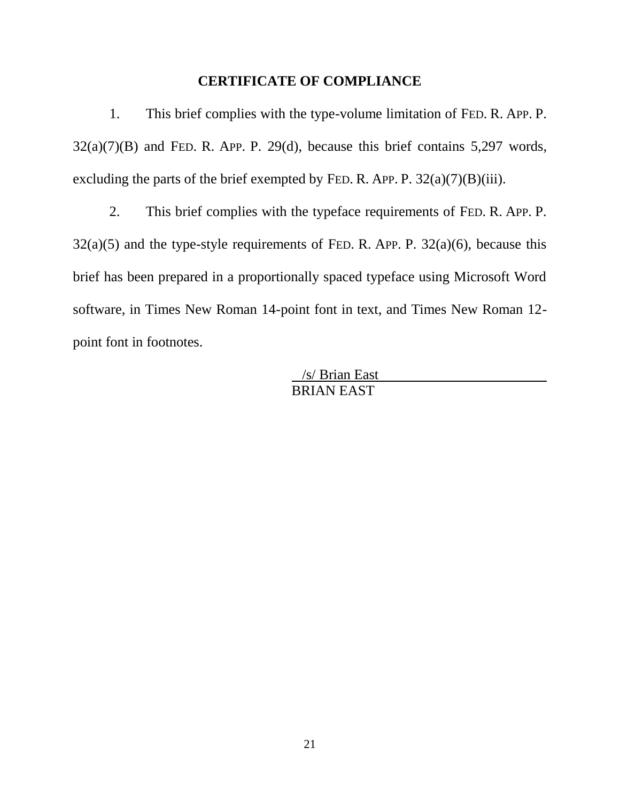#### **CERTIFICATE OF COMPLIANCE**

1. This brief complies with the type-volume limitation of FED. R. APP. P.  $32(a)(7)(B)$  and FED. R. APP. P. 29(d), because this brief contains 5,297 words, excluding the parts of the brief exempted by FED. R. APP. P.  $32(a)(7)(B)(iii)$ .

2. This brief complies with the typeface requirements of FED. R. APP. P.  $32(a)(5)$  and the type-style requirements of FED. R. APP. P.  $32(a)(6)$ , because this brief has been prepared in a proportionally spaced typeface using Microsoft Word software, in Times New Roman 14-point font in text, and Times New Roman 12 point font in footnotes.

> /s/ Brian East BRIAN EAST